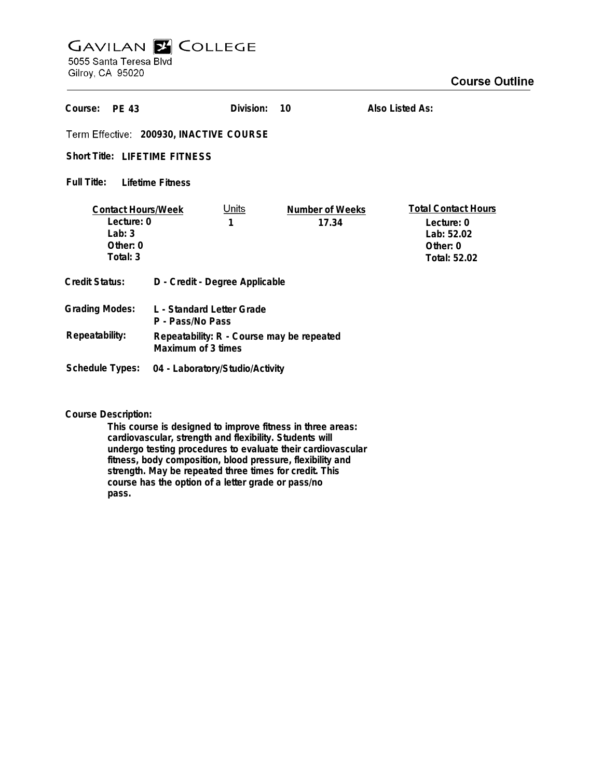## **GAVILAN Z COLLEGE** 5055 Santa Teresa Blvd

Gilroy, CA 95020

| Course:<br><b>PF 43</b>                                                     |                                                                 | Division:         | 10                              | Also Listed As:                                                                    |
|-----------------------------------------------------------------------------|-----------------------------------------------------------------|-------------------|---------------------------------|------------------------------------------------------------------------------------|
| Term Effective: 200930, INACTIVE COURSE                                     |                                                                 |                   |                                 |                                                                                    |
| <b>Short Title: LIFETIME FITNESS</b>                                        |                                                                 |                   |                                 |                                                                                    |
| Full Title:<br>Lifetime Fitness                                             |                                                                 |                   |                                 |                                                                                    |
| <b>Contact Hours/Week</b><br>Lecture: 0<br>Lab: $3$<br>Other: 0<br>Total: 3 |                                                                 | <u>Units</u><br>1 | <b>Number of Weeks</b><br>17.34 | <b>Total Contact Hours</b><br>Lecture: 0<br>Lab: 52.02<br>Other: 0<br>Total: 52.02 |
| <b>Credit Status:</b>                                                       | D - Credit - Degree Applicable                                  |                   |                                 |                                                                                    |
| <b>Grading Modes:</b>                                                       | L - Standard Letter Grade<br>P - Pass/No Pass                   |                   |                                 |                                                                                    |
| Repeatability:                                                              | Repeatability: R - Course may be repeated<br>Maximum of 3 times |                   |                                 |                                                                                    |
| <b>Schedule Types:</b>                                                      | 04 - Laboratory/Studio/Activity                                 |                   |                                 |                                                                                    |

**Course Description:**

**This course is designed to improve fitness in three areas: cardiovascular, strength and flexibility. Students will undergo testing procedures to evaluate their cardiovascular fitness, body composition, blood pressure, flexibility and strength. May be repeated three times for credit. This course has the option of a letter grade or pass/no pass.**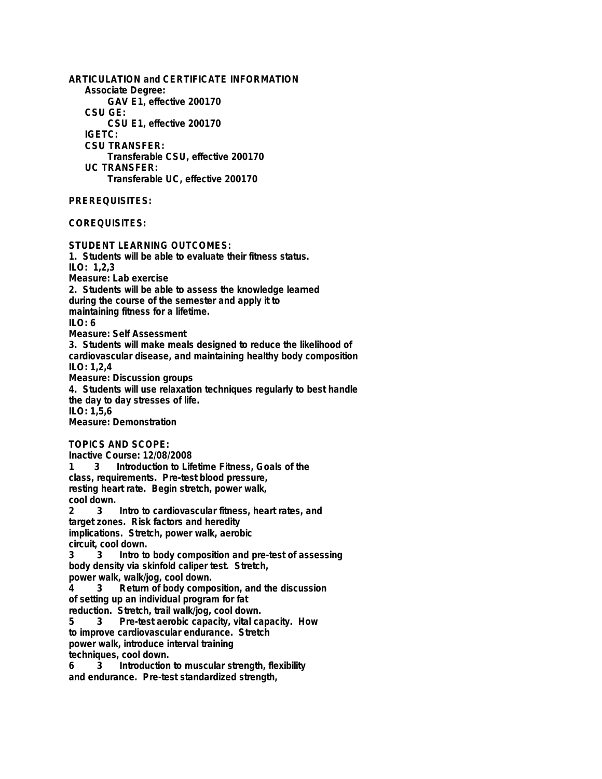**ARTICULATION and CERTIFICATE INFORMATION Associate Degree: GAV E1, effective 200170 CSU GE: CSU E1, effective 200170 IGETC: CSU TRANSFER: Transferable CSU, effective 200170 UC TRANSFER: Transferable UC, effective 200170 PREREQUISITES: COREQUISITES: STUDENT LEARNING OUTCOMES: 1. Students will be able to evaluate their fitness status. ILO: 1,2,3 Measure: Lab exercise 2. Students will be able to assess the knowledge learned during the course of the semester and apply it to maintaining fitness for a lifetime. ILO: 6 Measure: Self Assessment 3. Students will make meals designed to reduce the likelihood of cardiovascular disease, and maintaining healthy body composition ILO: 1,2,4 Measure: Discussion groups 4. Students will use relaxation techniques regularly to best handle the day to day stresses of life. ILO: 1,5,6 Measure: Demonstration TOPICS AND SCOPE: Inactive Course: 12/08/2008 1 3 Introduction to Lifetime Fitness, Goals of the class, requirements. Pre-test blood pressure, resting heart rate. Begin stretch, power walk, cool down. 2 3 Intro to cardiovascular fitness, heart rates, and target zones. Risk factors and heredity implications. Stretch, power walk, aerobic circuit, cool down. 3 3 Intro to body composition and pre-test of assessing body density via skinfold caliper test. Stretch, power walk, walk/jog, cool down. 4 3 Return of body composition, and the discussion of setting up an individual program for fat reduction. Stretch, trail walk/jog, cool down. 5 3 Pre-test aerobic capacity, vital capacity. How to improve cardiovascular endurance. Stretch power walk, introduce interval training techniques, cool down. 6 3 Introduction to muscular strength, flexibility and endurance. Pre-test standardized strength,**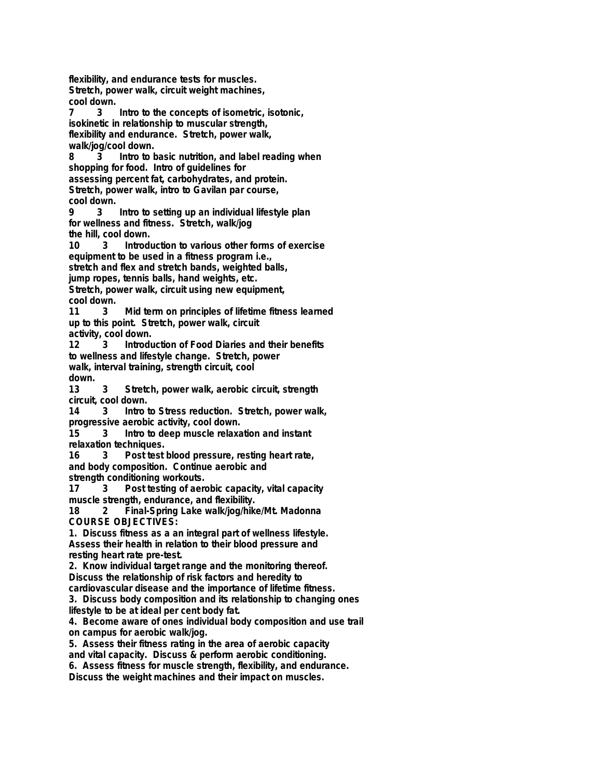**flexibility, and endurance tests for muscles. Stretch, power walk, circuit weight machines, cool down. 7 3 Intro to the concepts of isometric, isotonic, isokinetic in relationship to muscular strength, flexibility and endurance. Stretch, power walk, walk/jog/cool down. 8 3 Intro to basic nutrition, and label reading when shopping for food. Intro of guidelines for assessing percent fat, carbohydrates, and protein. Stretch, power walk, intro to Gavilan par course, cool down. 9 3 Intro to setting up an individual lifestyle plan for wellness and fitness. Stretch, walk/jog the hill, cool down. 10 3 Introduction to various other forms of exercise equipment to be used in a fitness program i.e., stretch and flex and stretch bands, weighted balls, jump ropes, tennis balls, hand weights, etc. Stretch, power walk, circuit using new equipment, cool down. 11 3 Mid term on principles of lifetime fitness learned up to this point. Stretch, power walk, circuit activity, cool down. 12 3 Introduction of Food Diaries and their benefits to wellness and lifestyle change. Stretch, power walk, interval training, strength circuit, cool down. 13 3 Stretch, power walk, aerobic circuit, strength circuit, cool down. 14 3 Intro to Stress reduction. Stretch, power walk, progressive aerobic activity, cool down. 15 3 Intro to deep muscle relaxation and instant relaxation techniques. 16 3 Post test blood pressure, resting heart rate, and body composition. Continue aerobic and strength conditioning workouts. 17 3 Post testing of aerobic capacity, vital capacity muscle strength, endurance, and flexibility. 18 2 Final-Spring Lake walk/jog/hike/Mt. Madonna COURSE OBJECTIVES: 1. Discuss fitness as a an integral part of wellness lifestyle. Assess their health in relation to their blood pressure and resting heart rate pre-test. 2. Know individual target range and the monitoring thereof. Discuss the relationship of risk factors and heredity to cardiovascular disease and the importance of lifetime fitness. 3. Discuss body composition and its relationship to changing ones lifestyle to be at ideal per cent body fat. 4. Become aware of ones individual body composition and use trail on campus for aerobic walk/jog. 5. Assess their fitness rating in the area of aerobic capacity and vital capacity. Discuss & perform aerobic conditioning. 6. Assess fitness for muscle strength, flexibility, and endurance. Discuss the weight machines and their impact on muscles.**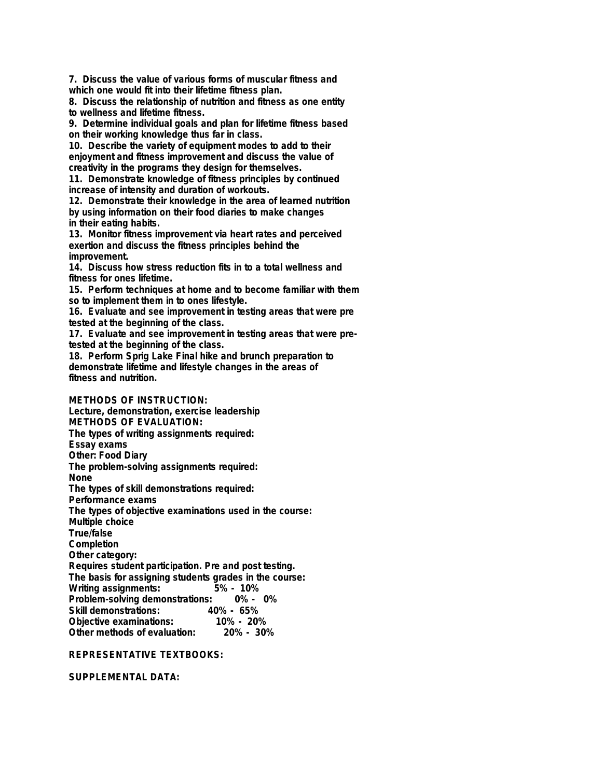**7. Discuss the value of various forms of muscular fitness and which one would fit into their lifetime fitness plan.**

**8. Discuss the relationship of nutrition and fitness as one entity to wellness and lifetime fitness.**

**9. Determine individual goals and plan for lifetime fitness based on their working knowledge thus far in class.**

**10. Describe the variety of equipment modes to add to their enjoyment and fitness improvement and discuss the value of creativity in the programs they design for themselves.**

**11. Demonstrate knowledge of fitness principles by continued increase of intensity and duration of workouts.**

**12. Demonstrate their knowledge in the area of learned nutrition by using information on their food diaries to make changes in their eating habits.**

**13. Monitor fitness improvement via heart rates and perceived exertion and discuss the fitness principles behind the improvement.**

**14. Discuss how stress reduction fits in to a total wellness and fitness for ones lifetime.**

**15. Perform techniques at home and to become familiar with them so to implement them in to ones lifestyle.**

**16. Evaluate and see improvement in testing areas that were pre tested at the beginning of the class.**

**17. Evaluate and see improvement in testing areas that were pretested at the beginning of the class.**

**18. Perform Sprig Lake Final hike and brunch preparation to demonstrate lifetime and lifestyle changes in the areas of fitness and nutrition.**

**METHODS OF INSTRUCTION: Lecture, demonstration, exercise leadership METHODS OF EVALUATION: The types of writing assignments required: Essay exams**

**Other: Food Diary**

**The problem-solving assignments required:**

**None**

**The types of skill demonstrations required:**

**Performance exams**

**The types of objective examinations used in the course:**

**Multiple choice**

**True/false**

**Completion**

**Other category:**

**Requires student participation. Pre and post testing.**

**The basis for assigning students grades in the course:**

**Writing assignments: 5% - 10%**

**Problem-solving demonstrations: 0% - 0%**

**Skill demonstrations: 40% - 65%**

**Objective examinations: 10% - 20% Other methods of evaluation:** 

## **REPRESENTATIVE TEXTBOOKS:**

**SUPPLEMENTAL DATA:**